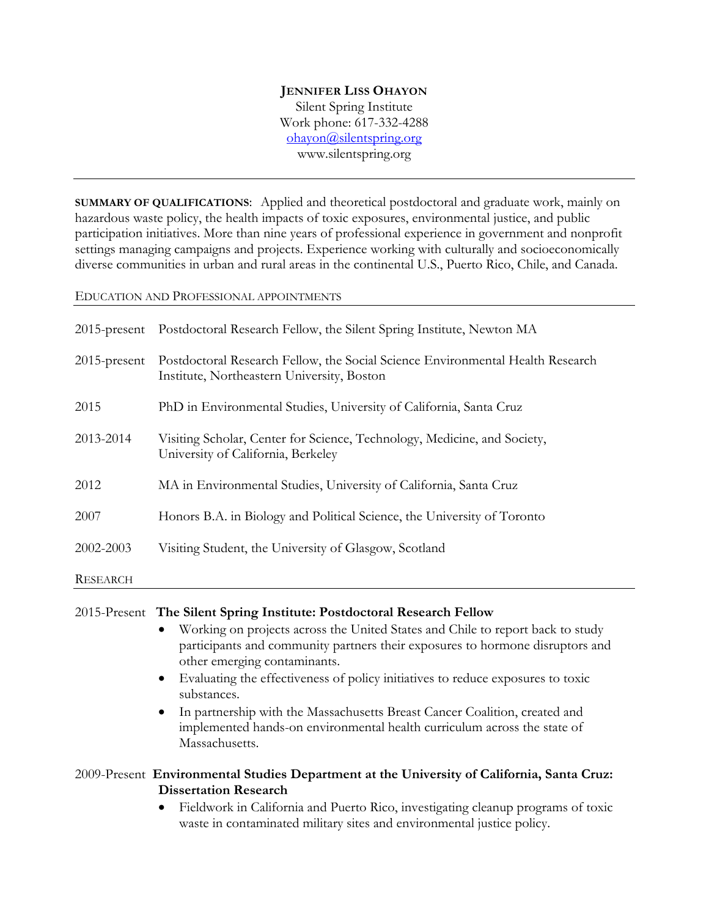### **JENNIFER LISS OHAYON**

Silent Spring Institute Work phone: 617-332-4288 ohayon@silentspring.org www.silentspring.org

**SUMMARY OF QUALIFICATIONS**: Applied and theoretical postdoctoral and graduate work, mainly on hazardous waste policy, the health impacts of toxic exposures, environmental justice, and public participation initiatives. More than nine years of professional experience in government and nonprofit settings managing campaigns and projects. Experience working with culturally and socioeconomically diverse communities in urban and rural areas in the continental U.S., Puerto Rico, Chile, and Canada.

### EDUCATION AND PROFESSIONAL APPOINTMENTS

|                 | 2015-present Postdoctoral Research Fellow, the Silent Spring Institute, Newton MA                                            |
|-----------------|------------------------------------------------------------------------------------------------------------------------------|
| $2015$ -present | Postdoctoral Research Fellow, the Social Science Environmental Health Research<br>Institute, Northeastern University, Boston |
| 2015            | PhD in Environmental Studies, University of California, Santa Cruz                                                           |
| 2013-2014       | Visiting Scholar, Center for Science, Technology, Medicine, and Society,<br>University of California, Berkeley               |
| 2012            | MA in Environmental Studies, University of California, Santa Cruz                                                            |
| 2007            | Honors B.A. in Biology and Political Science, the University of Toronto                                                      |
| 2002-2003       | Visiting Student, the University of Glasgow, Scotland                                                                        |
| RESEARCH        |                                                                                                                              |

### 2015-Present **The Silent Spring Institute: Postdoctoral Research Fellow**

- Working on projects across the United States and Chile to report back to study participants and community partners their exposures to hormone disruptors and other emerging contaminants.
- Evaluating the effectiveness of policy initiatives to reduce exposures to toxic substances.
- In partnership with the Massachusetts Breast Cancer Coalition, created and implemented hands-on environmental health curriculum across the state of Massachusetts.

# 2009-Present **Environmental Studies Department at the University of California, Santa Cruz: Dissertation Research**

 Fieldwork in California and Puerto Rico, investigating cleanup programs of toxic waste in contaminated military sites and environmental justice policy.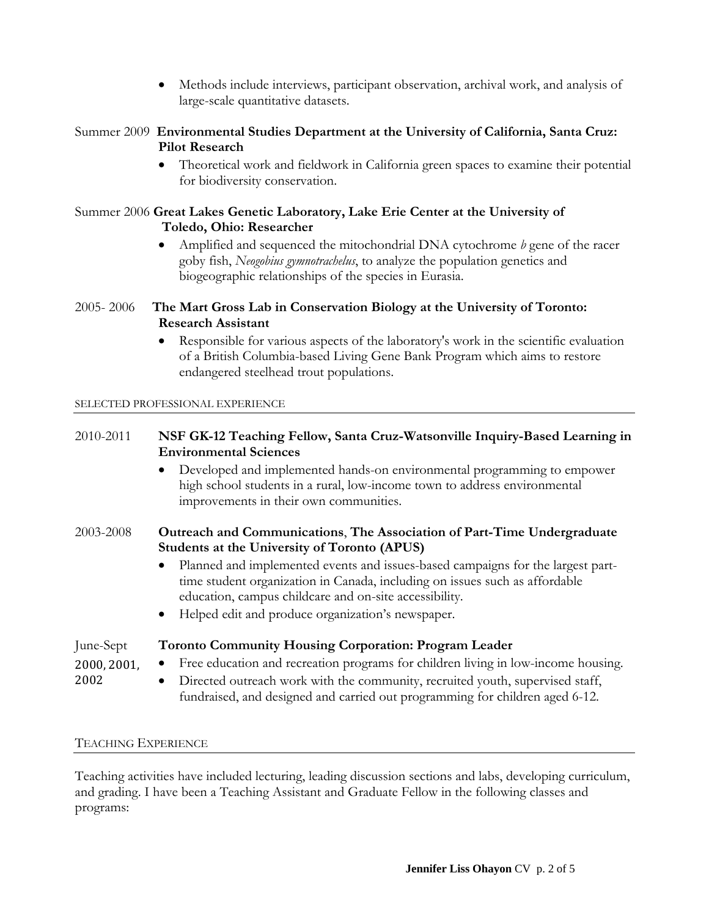Methods include interviews, participant observation, archival work, and analysis of large-scale quantitative datasets.

# Summer 2009 **Environmental Studies Department at the University of California, Santa Cruz: Pilot Research**

 Theoretical work and fieldwork in California green spaces to examine their potential for biodiversity conservation.

## Summer 2006 **Great Lakes Genetic Laboratory, Lake Erie Center at the University of Toledo, Ohio: Researcher**

 Amplified and sequenced the mitochondrial DNA cytochrome *b* gene of the racer goby fish, *Neogobius gymnotrachelus*, to analyze the population genetics and biogeographic relationships of the species in Eurasia.

# 2005- 2006 **The Mart Gross Lab in Conservation Biology at the University of Toronto: Research Assistant**

 Responsible for various aspects of the laboratory's work in the scientific evaluation of a British Columbia-based Living Gene Bank Program which aims to restore endangered steelhead trout populations.

## SELECTED PROFESSIONAL EXPERIENCE

# 2010-2011 **NSF GK-12 Teaching Fellow, Santa Cruz-Watsonville Inquiry-Based Learning in Environmental Sciences**

 Developed and implemented hands-on environmental programming to empower high school students in a rural, low-income town to address environmental improvements in their own communities.

## 2003-2008 **Outreach and Communications**, **The Association of Part-Time Undergraduate Students at the University of Toronto (APUS)**

- Planned and implemented events and issues-based campaigns for the largest parttime student organization in Canada, including on issues such as affordable education, campus childcare and on-site accessibility.
- Helped edit and produce organization's newspaper.

# June-Sept **Toronto Community Housing Corporation: Program Leader**

- Free education and recreation programs for children living in low-income housing. 2000, 2001,
	- Directed outreach work with the community, recruited youth, supervised staff, fundraised, and designed and carried out programming for children aged 6-12.

## TEACHING EXPERIENCE

2002 

Teaching activities have included lecturing, leading discussion sections and labs, developing curriculum, and grading. I have been a Teaching Assistant and Graduate Fellow in the following classes and programs: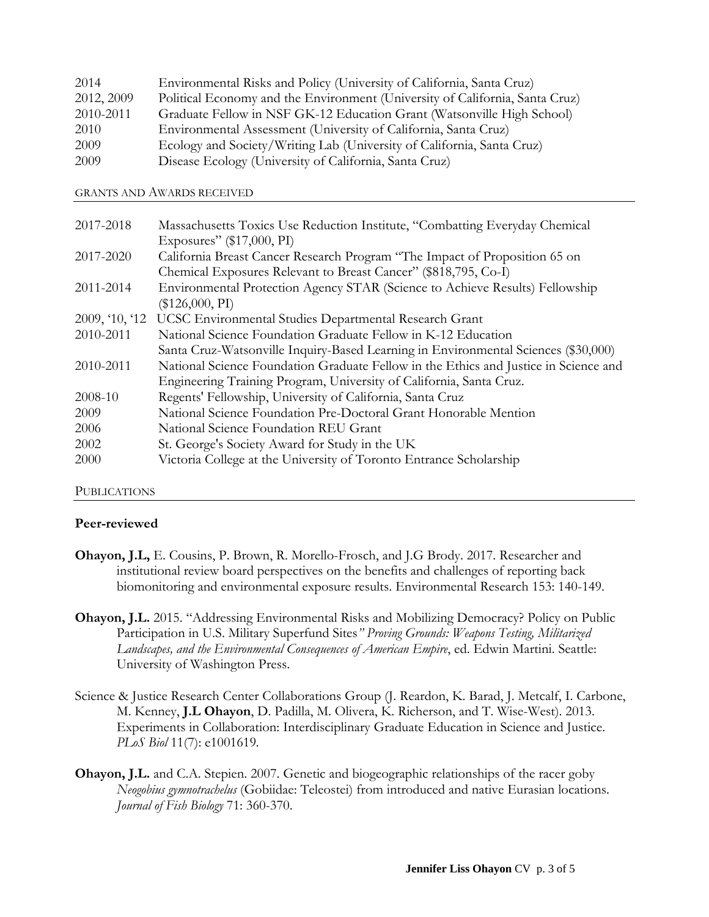| 2014       | Environmental Risks and Policy (University of California, Santa Cruz)        |
|------------|------------------------------------------------------------------------------|
| 2012, 2009 | Political Economy and the Environment (University of California, Santa Cruz) |
| 2010-2011  | Graduate Fellow in NSF GK-12 Education Grant (Watsonville High School)       |
| 2010       | Environmental Assessment (University of California, Santa Cruz)              |
| 2009       | Ecology and Society/Writing Lab (University of California, Santa Cruz)       |
| 2009       | Disease Ecology (University of California, Santa Cruz)                       |

GRANTS AND AWARDS RECEIVED

| 2017-2018      | Massachusetts Toxics Use Reduction Institute, "Combatting Everyday Chemical          |
|----------------|--------------------------------------------------------------------------------------|
|                | Exposures" (\$17,000, PI)                                                            |
| 2017-2020      | California Breast Cancer Research Program "The Impact of Proposition 65 on           |
|                | Chemical Exposures Relevant to Breast Cancer" (\$818,795, Co-I)                      |
| 2011-2014      | Environmental Protection Agency STAR (Science to Achieve Results) Fellowship         |
|                | $(\$126,000, PI)$                                                                    |
| 2009, '10, '12 | UCSC Environmental Studies Departmental Research Grant                               |
| 2010-2011      | National Science Foundation Graduate Fellow in K-12 Education                        |
|                | Santa Cruz-Watsonville Inquiry-Based Learning in Environmental Sciences (\$30,000)   |
| 2010-2011      | National Science Foundation Graduate Fellow in the Ethics and Justice in Science and |
|                | Engineering Training Program, University of California, Santa Cruz.                  |
| 2008-10        | Regents' Fellowship, University of California, Santa Cruz                            |
| 2009           | National Science Foundation Pre-Doctoral Grant Honorable Mention                     |
| 2006           | National Science Foundation REU Grant                                                |
| 2002           | St. George's Society Award for Study in the UK                                       |
| 2000           | Victoria College at the University of Toronto Entrance Scholarship                   |

### PUBLICATIONS

## **Peer-reviewed**

- **Ohayon, J.L,** E. Cousins, P. Brown, R. Morello-Frosch, and J.G Brody. 2017. Researcher and institutional review board perspectives on the benefits and challenges of reporting back biomonitoring and environmental exposure results. Environmental Research 153: 140-149.
- **Ohayon, J.L.** 2015. "Addressing Environmental Risks and Mobilizing Democracy? Policy on Public Participation in U.S. Military Superfund Sites*" Proving Grounds: Weapons Testing, Militarized Landscapes, and the Environmental Consequences of American Empire*, ed. Edwin Martini. Seattle: University of Washington Press.
- Science & Justice Research Center Collaborations Group (J. Reardon, K. Barad, J. Metcalf, I. Carbone, M. Kenney, **J.L Ohayon**, D. Padilla, M. Olivera, K. Richerson, and T. Wise-West). 2013. Experiments in Collaboration: Interdisciplinary Graduate Education in Science and Justice. *PLoS Biol* 11(7): e1001619*.*
- **Ohayon, J.L.** and C.A. Stepien. 2007. Genetic and biogeographic relationships of the racer goby *Neogobius gymnotrachelus* (Gobiidae: Teleostei) from introduced and native Eurasian locations. *Journal of Fish Biology* 71: 360-370.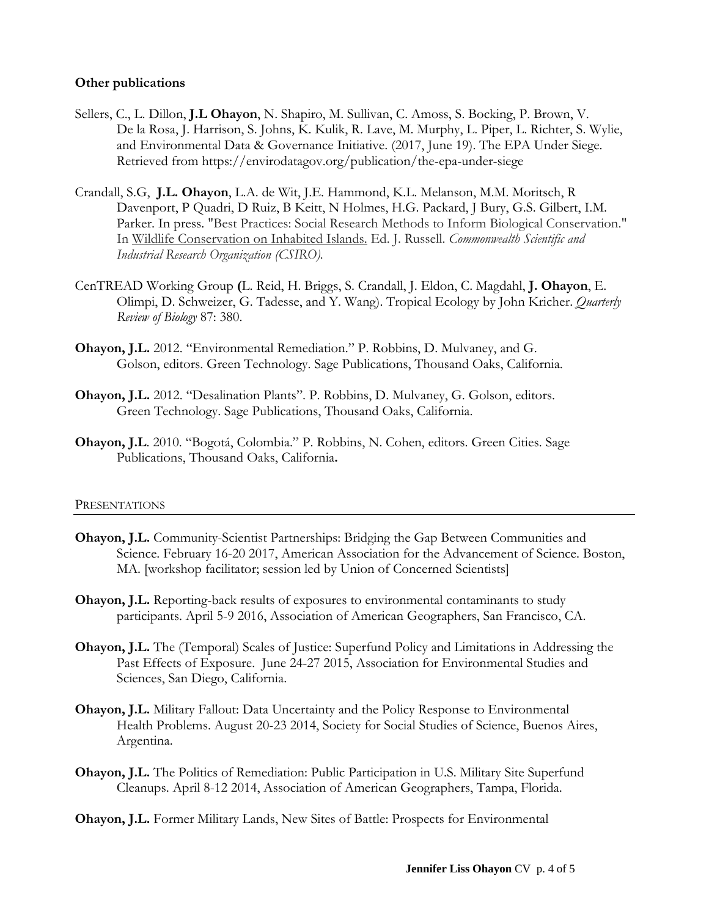## **Other publications**

- Sellers, C., L. Dillon, **J.L Ohayon**, N. Shapiro, M. Sullivan, C. Amoss, S. Bocking, P. Brown, V. De la Rosa, J. Harrison, S. Johns, K. Kulik, R. Lave, M. Murphy, L. Piper, L. Richter, S. Wylie, and Environmental Data & Governance Initiative. (2017, June 19). The EPA Under Siege. Retrieved from https://envirodatagov.org/publication/the-epa-under-siege
- Crandall, S.G, **J.L. Ohayon**, L.A. de Wit, J.E. Hammond, K.L. Melanson, M.M. Moritsch, R Davenport, P Quadri, D Ruiz, B Keitt, N Holmes, H.G. Packard, J Bury, G.S. Gilbert, I.M. Parker. In press. "Best Practices: Social Research Methods to Inform Biological Conservation." In Wildlife Conservation on Inhabited Islands. Ed. J. Russell. *Commonwealth Scientific and Industrial Research Organization (CSIRO).*
- CenTREAD Working Group **(**L. Reid, H. Briggs, S. Crandall, J. Eldon, C. Magdahl, **J. Ohayon**, E. Olimpi, D. Schweizer, G. Tadesse, and Y. Wang). Tropical Ecology by John Kricher. *Quarterly Review of Biology* 87: 380.
- **Ohayon, J.L.** 2012. "Environmental Remediation." P. Robbins, D. Mulvaney, and G. Golson, editors. Green Technology. Sage Publications, Thousand Oaks, California.
- **Ohayon, J.L.** 2012. "Desalination Plants". P. Robbins, D. Mulvaney, G. Golson, editors. Green Technology. Sage Publications, Thousand Oaks, California.
- **Ohayon, J.L**. 2010. "Bogotá, Colombia." P. Robbins, N. Cohen, editors. Green Cities. Sage Publications, Thousand Oaks, California**.**

#### PRESENTATIONS

- **Ohayon, J.L.** Community-Scientist Partnerships: Bridging the Gap Between Communities and Science. February 16-20 2017, American Association for the Advancement of Science. Boston, MA. [workshop facilitator; session led by Union of Concerned Scientists]
- **Ohayon, J.L.** Reporting-back results of exposures to environmental contaminants to study participants. April 5-9 2016, Association of American Geographers, San Francisco, CA.
- **Ohayon, J.L.** The (Temporal) Scales of Justice: Superfund Policy and Limitations in Addressing the Past Effects of Exposure. June 24-27 2015, Association for Environmental Studies and Sciences, San Diego, California.
- **Ohayon, J.L.** Military Fallout: Data Uncertainty and the Policy Response to Environmental Health Problems. August 20-23 2014, Society for Social Studies of Science, Buenos Aires, Argentina.
- **Ohayon, J.L.** The Politics of Remediation: Public Participation in U.S. Military Site Superfund Cleanups. April 8-12 2014, Association of American Geographers, Tampa, Florida.
- **Ohayon, J.L.** Former Military Lands, New Sites of Battle: Prospects for Environmental